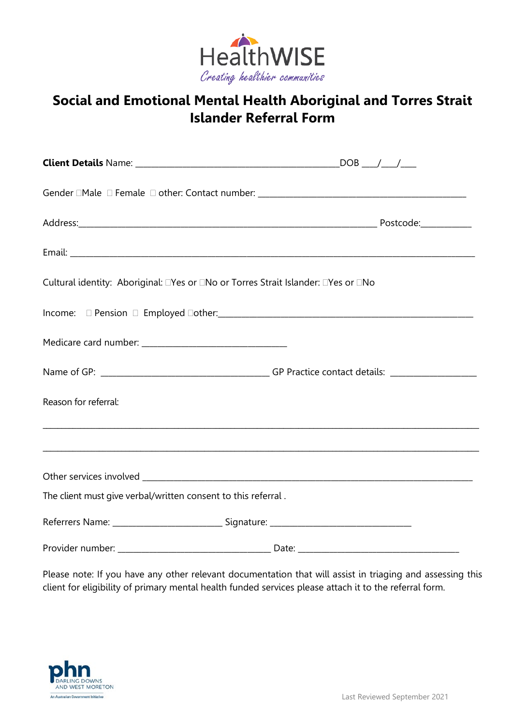

# **Social and Emotional Mental Health Aboriginal and Torres Strait Islander Referral Form**

| Cultural identity: Aboriginal: □Yes or □No or Torres Strait Islander: □Yes or □No |                                                                                                                                                                                                                                      |
|-----------------------------------------------------------------------------------|--------------------------------------------------------------------------------------------------------------------------------------------------------------------------------------------------------------------------------------|
|                                                                                   |                                                                                                                                                                                                                                      |
|                                                                                   |                                                                                                                                                                                                                                      |
|                                                                                   |                                                                                                                                                                                                                                      |
| Reason for referral:                                                              |                                                                                                                                                                                                                                      |
|                                                                                   | <u> 1989 - Johann Johann Harry Harry Harry Harry Harry Harry Harry Harry Harry Harry Harry Harry Harry Harry Harry Harry Harry Harry Harry Harry Harry Harry Harry Harry Harry Harry Harry Harry Harry Harry Harry Harry Harry H</u> |
|                                                                                   |                                                                                                                                                                                                                                      |
| The client must give verbal/written consent to this referral.                     |                                                                                                                                                                                                                                      |
|                                                                                   |                                                                                                                                                                                                                                      |
|                                                                                   |                                                                                                                                                                                                                                      |

Please note: If you have any other relevant documentation that will assist in triaging and assessing this client for eligibility of primary mental health funded services please attach it to the referral form.